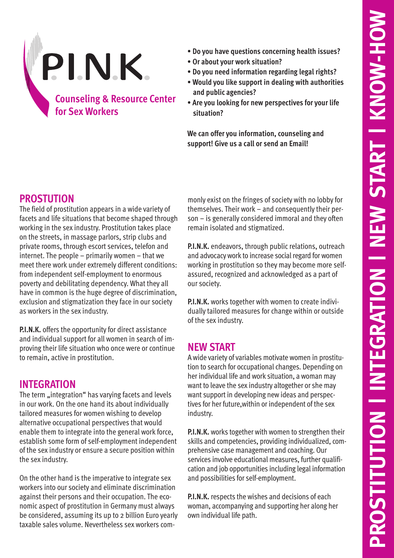

- **Do you have questions concerning health issues?**
- **Or about your work situation?**
- **Do you need information regarding legal rights?**
- **Would you like support in dealing with authorities and public agencies?**
- **Are you looking for new perspectives for your life situation?**

**We can offer you information, counseling and support! Give us a call or send an Email!**

## **PROSTUTION**

The field of prostitution appears in a wide variety of facets and life situations that become shaped through working in the sex industry. Prostitution takes place on the streets, in massage parlors, strip clubs and private rooms, through escort services, telefon and internet. The people – primarily women – that we meet there work under extremely different conditions: from independent self-employment to enormous poverty and debilitating dependency. What they all have in common is the huge degree of discrimination, exclusion and stigmatization they face in our society as workers in the sex industry.

**P.I.N.K.** offers the opportunity for direct assistance and individual support for all women in search of improving their life situation who once were or continue to remain, active in prostitution.

## **INTEGRATION**

The term "integration" has varying facets and levels in our work. On the one hand its about individually tailored measures for women wishing to develop alternative occupational perspectives that would enable them to integrate into the general work force, establish some form of self-employment independent of the sex industry or ensure a secure position within the sex industry.

On the other hand is the imperative to integrate sex workers into our society and eliminate discrimination against their persons and their occupation. The economic aspect of prostitution in Germany must always be considered, assuming its up to 2 billion Euro yearly taxable sales volume. Nevertheless sex workers commonly exist on the fringes of society with no lobby for themselves. Their work – and consequently their person – is generally considered immoral and they often remain isolated and stigmatized.

**P.I.N.K.** endeavors, through public relations, outreach and advocacy work to increase social regard for women working in prostitution so they may become more selfassured, recognized and acknowledged as a part of our society.

**P.I.N.K.** works together with women to create individually tailored measures for change within or outside of the sex industry.

## **NEW START**

A wide variety of variables motivate women in prostitution to search for occupational changes. Depending on her individual life and work situation, a woman may want to leave the sex industry altogether or she may want support in developing new ideas and perspectives for her future,within or independent of the sex industry.

**P.I.N.K.** works together with women to strengthen their skills and competencies, providing individualized, comprehensive case management and coaching. Our services involve educational measures, further qualification and job opportunities including legal information and possibilities for self-employment.

**P.I.N.K.** respects the wishes and decisions of each woman, accompanying and supporting her along her own individual life path.